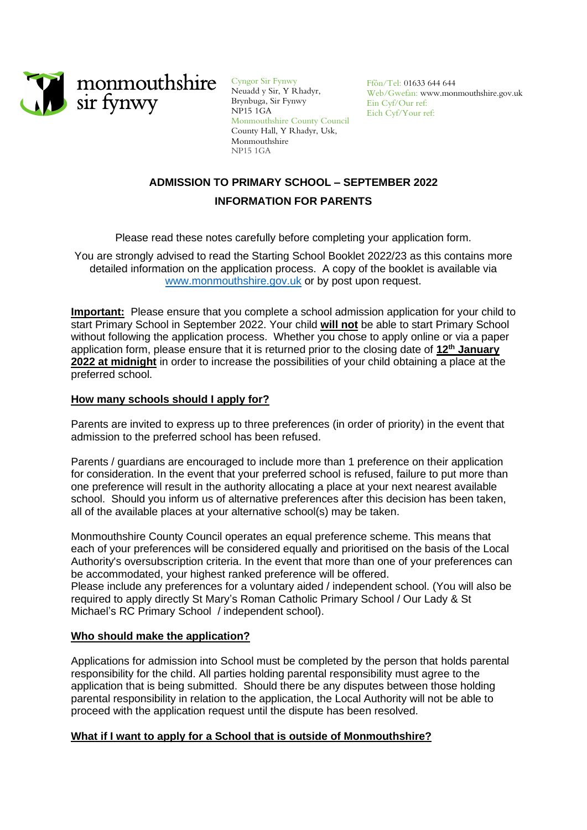

Cyngor Sir Fynwy Neuadd y Sir, Y Rhadyr, Brynbuga, Sir Fynwy NP15 1GA Monmouthshire County Council County Hall, Y Rhadyr, Usk, Monmouthshire NP15 1GA

Ffôn/Tel: 01633 644 644 Web/Gwefan: www.monmouthshire.gov.uk Ein Cyf/Our ref: Eich Cyf/Your ref:

# **ADMISSION TO PRIMARY SCHOOL – SEPTEMBER 2022 INFORMATION FOR PARENTS**

Please read these notes carefully before completing your application form.

You are strongly advised to read the Starting School Booklet 2022/23 as this contains more detailed information on the application process. A copy of the booklet is available via [www.monmouthshire.gov.uk](http://www.monmouthshire.gov.uk/) or by post upon request.

**Important:** Please ensure that you complete a school admission application for your child to start Primary School in September 2022. Your child **will not** be able to start Primary School without following the application process. Whether you chose to apply online or via a paper application form, please ensure that it is returned prior to the closing date of 12<sup>th</sup> January **2022 at midnight** in order to increase the possibilities of your child obtaining a place at the preferred school.

# **How many schools should I apply for?**

Parents are invited to express up to three preferences (in order of priority) in the event that admission to the preferred school has been refused.

Parents / guardians are encouraged to include more than 1 preference on their application for consideration. In the event that your preferred school is refused, failure to put more than one preference will result in the authority allocating a place at your next nearest available school. Should you inform us of alternative preferences after this decision has been taken, all of the available places at your alternative school(s) may be taken.

Monmouthshire County Council operates an equal preference scheme. This means that each of your preferences will be considered equally and prioritised on the basis of the Local Authority's oversubscription criteria. In the event that more than one of your preferences can be accommodated, your highest ranked preference will be offered.

Please include any preferences for a voluntary aided / independent school. (You will also be required to apply directly St Mary's Roman Catholic Primary School / Our Lady & St Michael's RC Primary School / independent school).

# **Who should make the application?**

Applications for admission into School must be completed by the person that holds parental responsibility for the child. All parties holding parental responsibility must agree to the application that is being submitted. Should there be any disputes between those holding parental responsibility in relation to the application, the Local Authority will not be able to proceed with the application request until the dispute has been resolved.

# **What if I want to apply for a School that is outside of Monmouthshire?**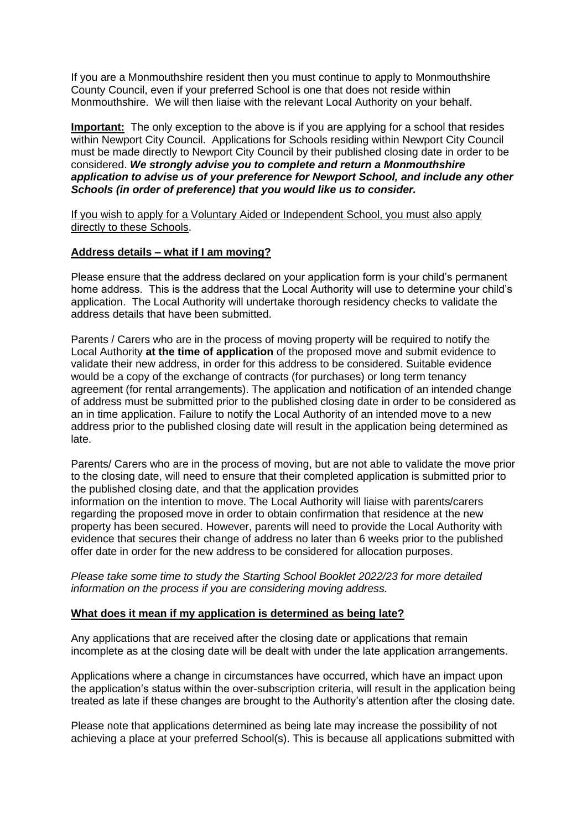If you are a Monmouthshire resident then you must continue to apply to Monmouthshire County Council, even if your preferred School is one that does not reside within Monmouthshire. We will then liaise with the relevant Local Authority on your behalf.

**Important:** The only exception to the above is if you are applying for a school that resides within Newport City Council. Applications for Schools residing within Newport City Council must be made directly to Newport City Council by their published closing date in order to be considered. *We strongly advise you to complete and return a Monmouthshire application to advise us of your preference for Newport School, and include any other Schools (in order of preference) that you would like us to consider.*

If you wish to apply for a Voluntary Aided or Independent School, you must also apply directly to these Schools.

# **Address details – what if I am moving?**

Please ensure that the address declared on your application form is your child's permanent home address. This is the address that the Local Authority will use to determine your child's application. The Local Authority will undertake thorough residency checks to validate the address details that have been submitted.

Parents / Carers who are in the process of moving property will be required to notify the Local Authority **at the time of application** of the proposed move and submit evidence to validate their new address, in order for this address to be considered. Suitable evidence would be a copy of the exchange of contracts (for purchases) or long term tenancy agreement (for rental arrangements). The application and notification of an intended change of address must be submitted prior to the published closing date in order to be considered as an in time application. Failure to notify the Local Authority of an intended move to a new address prior to the published closing date will result in the application being determined as late.

Parents/ Carers who are in the process of moving, but are not able to validate the move prior to the closing date, will need to ensure that their completed application is submitted prior to the published closing date, and that the application provides information on the intention to move. The Local Authority will liaise with parents/carers regarding the proposed move in order to obtain confirmation that residence at the new property has been secured. However, parents will need to provide the Local Authority with evidence that secures their change of address no later than 6 weeks prior to the published offer date in order for the new address to be considered for allocation purposes.

*Please take some time to study the Starting School Booklet 2022/23 for more detailed information on the process if you are considering moving address.*

#### **What does it mean if my application is determined as being late?**

Any applications that are received after the closing date or applications that remain incomplete as at the closing date will be dealt with under the late application arrangements.

Applications where a change in circumstances have occurred, which have an impact upon the application's status within the over-subscription criteria, will result in the application being treated as late if these changes are brought to the Authority's attention after the closing date.

Please note that applications determined as being late may increase the possibility of not achieving a place at your preferred School(s). This is because all applications submitted with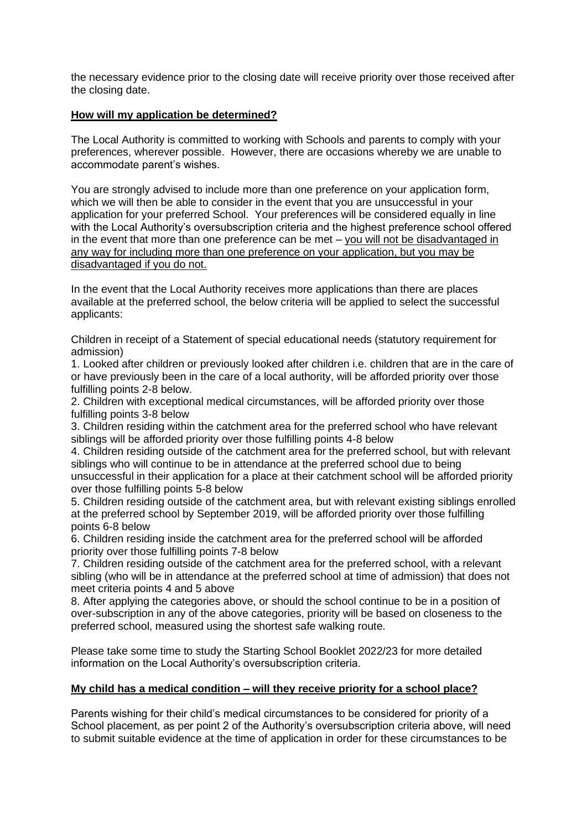the necessary evidence prior to the closing date will receive priority over those received after the closing date.

# **How will my application be determined?**

The Local Authority is committed to working with Schools and parents to comply with your preferences, wherever possible. However, there are occasions whereby we are unable to accommodate parent's wishes.

You are strongly advised to include more than one preference on your application form, which we will then be able to consider in the event that you are unsuccessful in your application for your preferred School. Your preferences will be considered equally in line with the Local Authority's oversubscription criteria and the highest preference school offered in the event that more than one preference can be met – you will not be disadvantaged in any way for including more than one preference on your application, but you may be disadvantaged if you do not.

In the event that the Local Authority receives more applications than there are places available at the preferred school, the below criteria will be applied to select the successful applicants:

Children in receipt of a Statement of special educational needs (statutory requirement for admission)

1. Looked after children or previously looked after children i.e. children that are in the care of or have previously been in the care of a local authority, will be afforded priority over those fulfilling points 2-8 below.

2. Children with exceptional medical circumstances, will be afforded priority over those fulfilling points 3-8 below

3. Children residing within the catchment area for the preferred school who have relevant siblings will be afforded priority over those fulfilling points 4-8 below

4. Children residing outside of the catchment area for the preferred school, but with relevant siblings who will continue to be in attendance at the preferred school due to being unsuccessful in their application for a place at their catchment school will be afforded priority over those fulfilling points 5-8 below

5. Children residing outside of the catchment area, but with relevant existing siblings enrolled at the preferred school by September 2019, will be afforded priority over those fulfilling points 6-8 below

6. Children residing inside the catchment area for the preferred school will be afforded priority over those fulfilling points 7-8 below

7. Children residing outside of the catchment area for the preferred school, with a relevant sibling (who will be in attendance at the preferred school at time of admission) that does not meet criteria points 4 and 5 above

8. After applying the categories above, or should the school continue to be in a position of over-subscription in any of the above categories, priority will be based on closeness to the preferred school, measured using the shortest safe walking route.

Please take some time to study the Starting School Booklet 2022/23 for more detailed information on the Local Authority's oversubscription criteria.

# **My child has a medical condition – will they receive priority for a school place?**

Parents wishing for their child's medical circumstances to be considered for priority of a School placement, as per point 2 of the Authority's oversubscription criteria above, will need to submit suitable evidence at the time of application in order for these circumstances to be